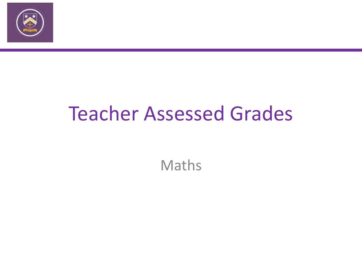

## Teacher Assessed Grades

Maths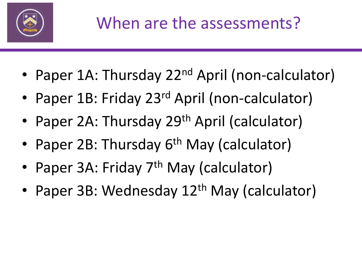

- Paper 1A: Thursday 22<sup>nd</sup> April (non-calculator)
- Paper 1B: Friday 23<sup>rd</sup> April (non-calculator)
- Paper 2A: Thursday 29<sup>th</sup> April (calculator)
- Paper 2B: Thursday 6<sup>th</sup> May (calculator)
- Paper 3A: Friday 7<sup>th</sup> May (calculator)
- Paper 3B: Wednesday 12<sup>th</sup> May (calculator)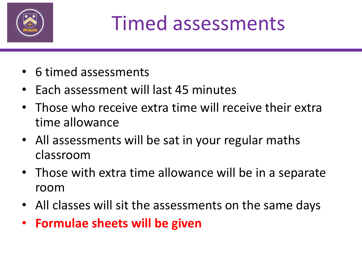

## Timed assessments

- 6 timed assessments
- Each assessment will last 45 minutes
- Those who receive extra time will receive their extra time allowance
- All assessments will be sat in your regular maths classroom
- Those with extra time allowance will be in a separate room
- All classes will sit the assessments on the same days
- **Formulae sheets will be given**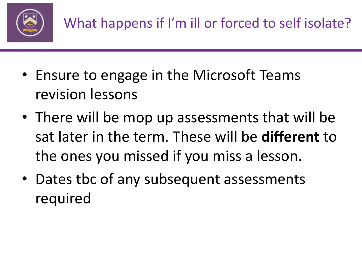

- Ensure to engage in the Microsoft Teams revision lessons
- There will be mop up assessments that will be sat later in the term. These will be **different** to the ones you missed if you miss a lesson.
- Dates tbc of any subsequent assessments required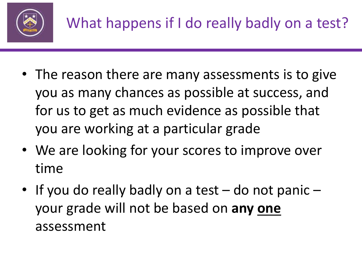

- The reason there are many assessments is to give you as many chances as possible at success, and for us to get as much evidence as possible that you are working at a particular grade
- We are looking for your scores to improve over time
- If you do really badly on a test do not panic your grade will not be based on **any one** assessment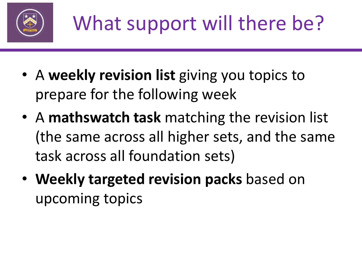

- A **weekly revision list** giving you topics to prepare for the following week
- A **mathswatch task** matching the revision list (the same across all higher sets, and the same task across all foundation sets)
- **Weekly targeted revision packs** based on upcoming topics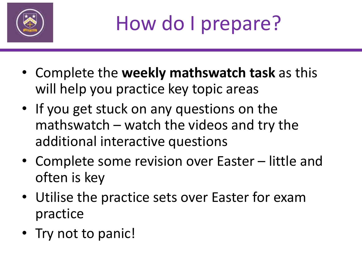

- Complete the **weekly mathswatch task** as this will help you practice key topic areas
- If you get stuck on any questions on the mathswatch – watch the videos and try the additional interactive questions
- Complete some revision over Easter little and often is key
- Utilise the practice sets over Easter for exam practice
- Try not to panic!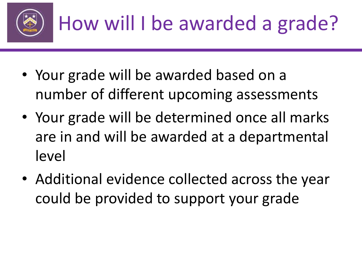

- Your grade will be awarded based on a number of different upcoming assessments
- Your grade will be determined once all marks are in and will be awarded at a departmental level
- Additional evidence collected across the year could be provided to support your grade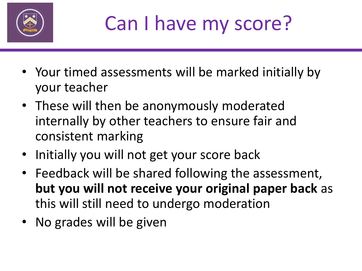

## Can I have my score?

- Your timed assessments will be marked initially by your teacher
- These will then be anonymously moderated internally by other teachers to ensure fair and consistent marking
- Initially you will not get your score back
- Feedback will be shared following the assessment, **but you will not receive your original paper back** as this will still need to undergo moderation
- No grades will be given